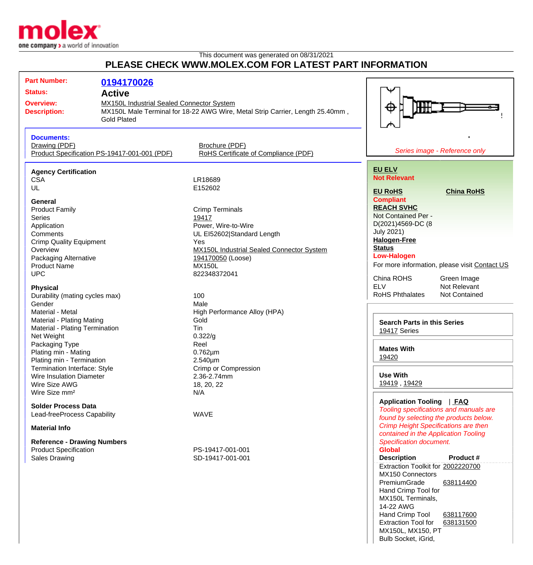

This document was generated on 08/31/2021

## **PLEASE CHECK WWW.MOLEX.COM FOR LATEST PART INFORMATION**

| <b>Part Number:</b>                          |                                                  |                                                                               |                                               |
|----------------------------------------------|--------------------------------------------------|-------------------------------------------------------------------------------|-----------------------------------------------|
|                                              | 0194170026                                       |                                                                               |                                               |
| <b>Status:</b>                               | <b>Active</b>                                    |                                                                               |                                               |
| <b>Overview:</b>                             | <b>MX150L Industrial Sealed Connector System</b> |                                                                               |                                               |
| <b>Description:</b>                          |                                                  | MX150L Male Terminal for 18-22 AWG Wire, Metal Strip Carrier, Length 25.40mm, | ⊕                                             |
|                                              | <b>Gold Plated</b>                               |                                                                               |                                               |
|                                              |                                                  |                                                                               |                                               |
|                                              |                                                  |                                                                               |                                               |
| <b>Documents:</b>                            |                                                  |                                                                               |                                               |
| Drawing (PDF)                                |                                                  | Brochure (PDF)                                                                |                                               |
| Product Specification PS-19417-001-001 (PDF) |                                                  | RoHS Certificate of Compliance (PDF)                                          | Series image - Reference only                 |
|                                              |                                                  |                                                                               |                                               |
| <b>Agency Certification</b>                  |                                                  |                                                                               | <b>EU ELV</b>                                 |
| <b>CSA</b>                                   |                                                  | LR18689                                                                       | <b>Not Relevant</b>                           |
| UL                                           |                                                  | E152602                                                                       |                                               |
|                                              |                                                  |                                                                               | <b>EU RoHS</b><br><b>China RoHS</b>           |
| General                                      |                                                  |                                                                               | <b>Compliant</b>                              |
| <b>Product Family</b>                        |                                                  | <b>Crimp Terminals</b>                                                        | <b>REACH SVHC</b>                             |
| <b>Series</b>                                |                                                  | 19417                                                                         | Not Contained Per -                           |
| Application                                  |                                                  | Power, Wire-to-Wire                                                           | D(2021)4569-DC (8                             |
| Comments                                     |                                                  | UL EI52602 Standard Length                                                    | <b>July 2021)</b>                             |
| <b>Crimp Quality Equipment</b>               |                                                  | Yes                                                                           | <b>Halogen-Free</b>                           |
| Overview                                     |                                                  | <b>MX150L Industrial Sealed Connector System</b>                              | <b>Status</b>                                 |
|                                              |                                                  |                                                                               | <b>Low-Halogen</b>                            |
| Packaging Alternative                        |                                                  | 194170050 (Loose)                                                             | For more information, please visit Contact US |
| <b>Product Name</b>                          |                                                  | <b>MX150L</b>                                                                 |                                               |
| <b>UPC</b>                                   |                                                  | 822348372041                                                                  | China ROHS<br>Green Image                     |
|                                              |                                                  |                                                                               | <b>ELV</b><br>Not Relevant                    |
| <b>Physical</b>                              |                                                  |                                                                               | <b>RoHS Phthalates</b><br>Not Contained       |
| Durability (mating cycles max)               |                                                  | 100                                                                           |                                               |
| Gender                                       |                                                  | Male                                                                          |                                               |
| Material - Metal                             |                                                  | High Performance Alloy (HPA)                                                  |                                               |
| Material - Plating Mating                    |                                                  | Gold                                                                          | <b>Search Parts in this Series</b>            |
| Material - Plating Termination               |                                                  | Tin                                                                           | <b>19417 Series</b>                           |
| Net Weight                                   |                                                  | 0.322/g                                                                       |                                               |
| Packaging Type                               |                                                  | Reel                                                                          |                                               |
| Plating min - Mating                         |                                                  | $0.762 \mu m$                                                                 | <b>Mates With</b>                             |
| Plating min - Termination                    |                                                  | 2.540µm                                                                       | 19420                                         |
| Termination Interface: Style                 |                                                  | Crimp or Compression                                                          |                                               |
| <b>Wire Insulation Diameter</b>              |                                                  | 2.36-2.74mm                                                                   | <b>Use With</b>                               |
| Wire Size AWG                                |                                                  | 18, 20, 22                                                                    | 19419, 19429                                  |
| Wire Size mm <sup>2</sup>                    |                                                  | N/A                                                                           |                                               |
|                                              |                                                  |                                                                               | <b>Application Tooling</b><br><u>  FAQ</u>    |
| <b>Solder Process Data</b>                   |                                                  |                                                                               | Tooling specifications and manuals are        |
| Lead-freeProcess Capability                  |                                                  | <b>WAVE</b>                                                                   | found by selecting the products below.        |
|                                              |                                                  |                                                                               |                                               |
| <b>Material Info</b>                         |                                                  | <b>Crimp Height Specifications are then</b>                                   |                                               |
|                                              |                                                  |                                                                               | contained in the Application Tooling          |
| <b>Reference - Drawing Numbers</b>           |                                                  |                                                                               | <b>Specification document.</b>                |
| <b>Product Specification</b>                 |                                                  | PS-19417-001-001                                                              | <b>Global</b>                                 |
| <b>Sales Drawing</b>                         |                                                  | SD-19417-001-001                                                              | <b>Description</b><br>Product #               |
|                                              |                                                  |                                                                               | Extraction Toolkit for 2002220700             |
|                                              |                                                  |                                                                               | MX150 Connectors                              |
|                                              |                                                  |                                                                               | PremiumGrade<br>638114400                     |
|                                              |                                                  |                                                                               | Hand Crimp Tool for                           |

MX150L Terminals,

MX150L, MX150, PT Bulb Socket, iGrid,

Hand Crimp Tool [638117600](http://www.molex.com/molex/products/datasheet.jsp?part=active/0638117600_APPLICATION_TOOLIN.xml) Extraction Tool for [638131500](http://www.molex.com/molex/products/datasheet.jsp?part=active/0638131500_APPLICATION_TOOLIN.xml)

14-22 AWG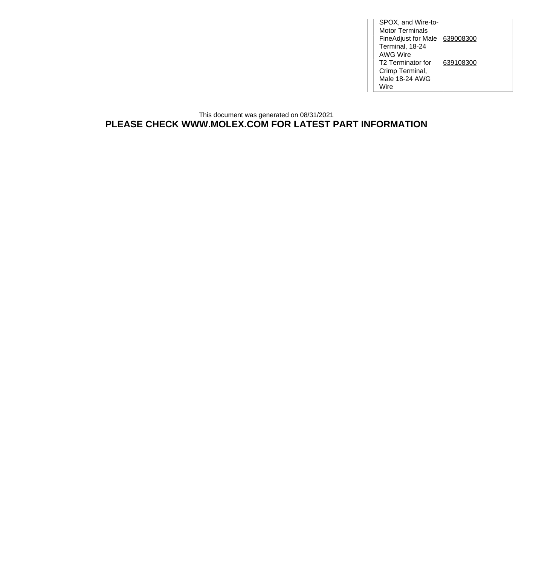SPOX, and Wire-to-Motor Terminals FineAdjust for Male [639008300](http://www.molex.com/molex/products/datasheet.jsp?part=active/0639008300_APPLICATION_TOOLIN.xml) Terminal, 18-24 AWG Wire T2 Terminator for Crimp Terminal, Male 18-24 AWG Wire [639108300](http://www.molex.com/molex/products/datasheet.jsp?part=active/0639108300_APPLICATION_TOOLIN.xml)

This document was generated on 08/31/2021 **PLEASE CHECK WWW.MOLEX.COM FOR LATEST PART INFORMATION**